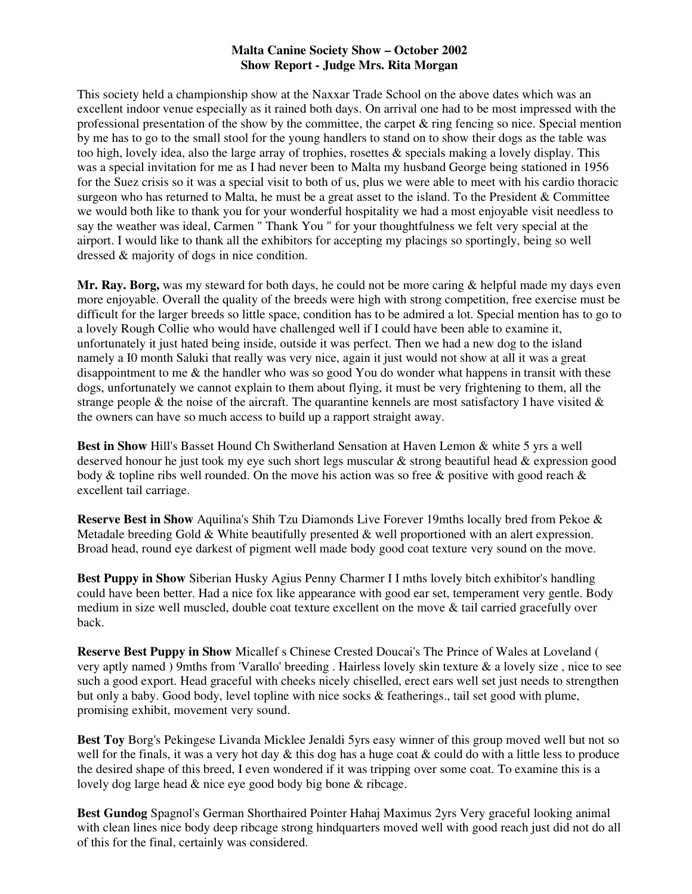## **Malta Canine Society Show – October 2002 Show Report - Judge Mrs. Rita Morgan**

This society held a championship show at the Naxxar Trade School on the above dates which was an excellent indoor venue especially as it rained both days. On arrival one had to be most impressed with the professional presentation of the show by the committee, the carpet  $\&$  ring fencing so nice. Special mention by me has to go to the small stool for the young handlers to stand on to show their dogs as the table was too high, lovely idea, also the large array of trophies, rosettes & specials making a lovely display. This was a special invitation for me as I had never been to Malta my husband George being stationed in 1956 for the Suez crisis so it was a special visit to both of us, plus we were able to meet with his cardio thoracic surgeon who has returned to Malta, he must be a great asset to the island. To the President & Committee we would both like to thank you for your wonderful hospitality we had a most enjoyable visit needless to say the weather was ideal, Carmen " Thank You " for your thoughtfulness we felt very special at the airport. I would like to thank all the exhibitors for accepting my placings so sportingly, being so well dressed & majority of dogs in nice condition.

Mr. Ray. Borg, was my steward for both days, he could not be more caring & helpful made my days even more enjoyable. Overall the quality of the breeds were high with strong competition, free exercise must be difficult for the larger breeds so little space, condition has to be admired a lot. Special mention has to go to a lovely Rough Collie who would have challenged well if I could have been able to examine it, unfortunately it just hated being inside, outside it was perfect. Then we had a new dog to the island namely a I0 month Saluki that really was very nice, again it just would not show at all it was a great disappointment to me & the handler who was so good You do wonder what happens in transit with these dogs, unfortunately we cannot explain to them about flying, it must be very frightening to them, all the strange people & the noise of the aircraft. The quarantine kennels are most satisfactory I have visited  $\&$ the owners can have so much access to build up a rapport straight away.

**Best in Show** Hill's Basset Hound Ch Switherland Sensation at Haven Lemon & white 5 yrs a well deserved honour he just took my eye such short legs muscular & strong beautiful head & expression good body & topline ribs well rounded. On the move his action was so free & positive with good reach & excellent tail carriage.

**Reserve Best in Show** Aquilina's Shih Tzu Diamonds Live Forever 19mths locally bred from Pekoe & Metadale breeding Gold & White beautifully presented  $\&$  well proportioned with an alert expression. Broad head, round eye darkest of pigment well made body good coat texture very sound on the move.

**Best Puppy in Show** Siberian Husky Agius Penny Charmer I I mths lovely bitch exhibitor's handling could have been better. Had a nice fox like appearance with good ear set, temperament very gentle. Body medium in size well muscled, double coat texture excellent on the move & tail carried gracefully over back.

**Reserve Best Puppy in Show** Micallef s Chinese Crested Doucai's The Prince of Wales at Loveland ( very aptly named ) 9mths from 'Varallo' breeding . Hairless lovely skin texture & a lovely size , nice to see such a good export. Head graceful with cheeks nicely chiselled, erect ears well set just needs to strengthen but only a baby. Good body, level topline with nice socks & featherings., tail set good with plume, promising exhibit, movement very sound.

**Best Toy** Borg's Pekingese Livanda Micklee Jenaldi 5yrs easy winner of this group moved well but not so well for the finals, it was a very hot day  $\&$  this dog has a huge coat  $\&$  could do with a little less to produce the desired shape of this breed, I even wondered if it was tripping over some coat. To examine this is a lovely dog large head & nice eye good body big bone & ribcage.

**Best Gundog** Spagnol's German Shorthaired Pointer Hahaj Maximus 2yrs Very graceful looking animal with clean lines nice body deep ribcage strong hindquarters moved well with good reach just did not do all of this for the final, certainly was considered.